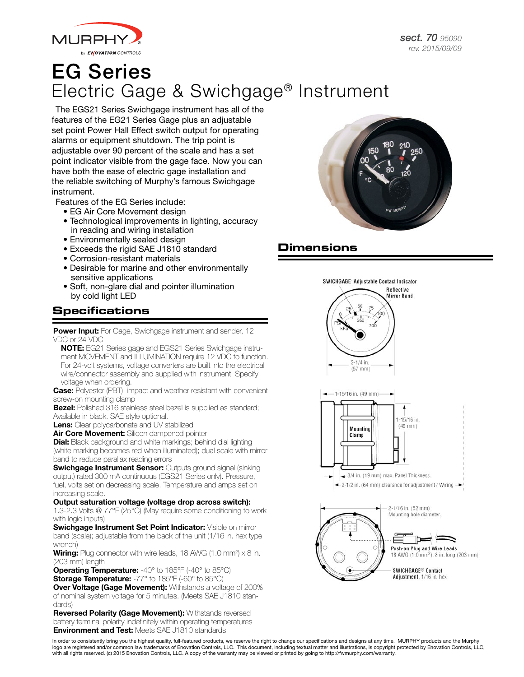

# EG Series Electric Gage & Swichgage® Instrument

The EGS21 Series Swichgage instrument has all of the features of the EG21 Series Gage plus an adjustable set point Power Hall Effect switch output for operating alarms or equipment shutdown. The trip point is adjustable over 90 percent of the scale and has a set point indicator visible from the gage face. Now you can have both the ease of electric gage installation and the reliable switching of Murphy's famous Swichgage instrument.

Features of the EG Series include:

- EG Air Core Movement design
- Technological improvements in lighting, accuracy in reading and wiring installation
- Environmentally sealed design
- Exceeds the rigid SAE J1810 standard
- Corrosion-resistant materials
- Desirable for marine and other environmentally sensitive applications
- Soft, non-glare dial and pointer illumination by cold light LED

### **Specifications**

Power Input: For Gage, Swichgage instrument and sender, 12 VDC or 24 VDC

NOTE: EG21 Series gage and EGS21 Series Swichgage instrument MOVEMENT and ILLUMINATION require 12 VDC to function. For 24-volt systems, voltage converters are built into the electrical wire/connector assembly and supplied with instrument. Specify voltage when ordering.

**Case:** Polyester (PBT), impact and weather resistant with convenient screw-on mounting clamp

**Bezel:** Polished 316 stainless steel bezel is supplied as standard; Available in black. SAE style optional.

Lens: Clear polycarbonate and UV stabilized

Air Core Movement: Silicon dampened pointer

**Dial:** Black background and white markings; behind dial lighting (white marking becomes red when illuminated); dual scale with mirror band to reduce parallax reading errors

**Swichgage Instrument Sensor: Outputs ground signal (sinking)** output) rated 300 mA continuous (EGS21 Series only). Pressure, fuel, volts set on decreasing scale. Temperature and amps set on increasing scale.

Output saturation voltage (voltage drop across switch): 1.3-2.3 Volts @ 77°F (25°C) (May require some conditioning to work

with logic inputs) Swichgage Instrument Set Point Indicator: Visible on mirror band (scale); adjustable from the back of the unit (1/16 in. hex type wrench)

**Wiring:** Plug connector with wire leads, 18 AWG (1.0 mm<sup>2</sup>) x 8 in. (203 mm) length

**Operating Temperature:** -40° to 185°F (-40° to 85°C) **Storage Temperature:** -77° to 185°F (-60° to 85°C) **Over Voltage (Gage Movement):** Withstands a voltage of 200% of nominal system voltage for 5 minutes. (Meets SAE J1810 stan-

dards) Reversed Polarity (Gage Movement): Withstands reversed battery terminal polarity indefinitely within operating temperatures **Environment and Test: Meets SAE J1810 standards** 



## **Dimensions**



In order to consistently bring you the highest quality, full-featured products, we reserve the right to change our specifications and designs at any time. MURPHY products and the Murphy logo are registered and/or common law trademarks of Enovation Controls, LLC. This document, including textual matter and illustrations, is copyright protected by Enovation Controls, LLC, with all rights reserved. (c) 2015 Enovation Controls, LLC. A copy of the warranty may be viewed or printed by going to http://fwmurphy.com/warranty.